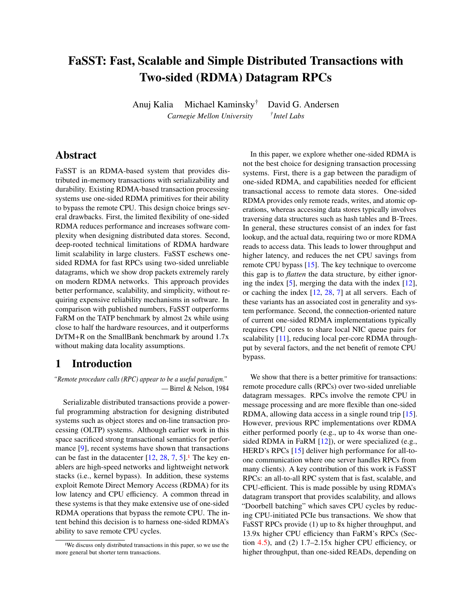# <span id="page-0-0"></span>FaSST: Fast, Scalable and Simple Distributed Transactions with Two-sided (RDMA) Datagram RPCs

Anuj Kalia Michael Kaminsky† David G. Andersen *Carnegie Mellon University † Intel Labs*

# Abstract

FaSST is an RDMA-based system that provides distributed in-memory transactions with serializability and durability. Existing RDMA-based transaction processing systems use one-sided RDMA primitives for their ability to bypass the remote CPU. This design choice brings several drawbacks. First, the limited flexibility of one-sided RDMA reduces performance and increases software complexity when designing distributed data stores. Second, deep-rooted technical limitations of RDMA hardware limit scalability in large clusters. FaSST eschews onesided RDMA for fast RPCs using two-sided unreliable datagrams, which we show drop packets extremely rarely on modern RDMA networks. This approach provides better performance, scalability, and simplicity, without requiring expensive reliability mechanisms in software. In comparison with published numbers, FaSST outperforms FaRM on the TATP benchmark by almost 2x while using close to half the hardware resources, and it outperforms DrTM+R on the SmallBank benchmark by around 1.7x without making data locality assumptions.

# 1 Introduction

*"Remote procedure calls (RPC) appear to be a useful paradigm."* — Birrel & Nelson, 1984

Serializable distributed transactions provide a powerful programming abstraction for designing distributed systems such as object stores and on-line transaction processing (OLTP) systems. Although earlier work in this space sacrificed strong transactional semantics for perfor-mance [\[9\]](#page-15-0), recent systems have shown that transactions can be fast in the datacenter  $[12, 28, 7, 5]$  $[12, 28, 7, 5]$  $[12, 28, 7, 5]$  $[12, 28, 7, 5]$  $[12, 28, 7, 5]$  $[12, 28, 7, 5]$  $[12, 28, 7, 5]$ .<sup>1</sup> The key enablers are high-speed networks and lightweight network stacks (i.e., kernel bypass). In addition, these systems exploit Remote Direct Memory Access (RDMA) for its low latency and CPU efficiency. A common thread in these systems is that they make extensive use of one-sided RDMA operations that bypass the remote CPU. The intent behind this decision is to harness one-sided RDMA's ability to save remote CPU cycles.

In this paper, we explore whether one-sided RDMA is not the best choice for designing transaction processing systems. First, there is a gap between the paradigm of one-sided RDMA, and capabilities needed for efficient transactional access to remote data stores. One-sided RDMA provides only remote reads, writes, and atomic operations, whereas accessing data stores typically involves traversing data structures such as hash tables and B-Trees. In general, these structures consist of an index for fast lookup, and the actual data, requiring two or more RDMA reads to access data. This leads to lower throughput and higher latency, and reduces the net CPU savings from remote CPU bypass [\[15\]](#page-15-4). The key technique to overcome this gap is to *flatten* the data structure, by either ignoring the index [\[5\]](#page-15-3), merging the data with the index [\[12\]](#page-15-1), or caching the index [\[12,](#page-15-1) [28,](#page-16-0) [7\]](#page-15-2) at all servers. Each of these variants has an associated cost in generality and system performance. Second, the connection-oriented nature of current one-sided RDMA implementations typically requires CPU cores to share local NIC queue pairs for scalability [\[11\]](#page-15-5), reducing local per-core RDMA throughput by several factors, and the net benefit of remote CPU bypass.

We show that there is a better primitive for transactions: remote procedure calls (RPCs) over two-sided unreliable datagram messages. RPCs involve the remote CPU in message processing and are more flexible than one-sided RDMA, allowing data access in a single round trip [\[15\]](#page-15-4). However, previous RPC implementations over RDMA either performed poorly (e.g., up to 4x worse than onesided RDMA in FaRM [\[12\]](#page-15-1)), or were specialized (e.g., HERD's RPCs [\[15\]](#page-15-4) deliver high performance for all-toone communication where one server handles RPCs from many clients). A key contribution of this work is FaSST RPCs: an all-to-all RPC system that is fast, scalable, and CPU-efficient. This is made possible by using RDMA's datagram transport that provides scalability, and allows "Doorbell batching" which saves CPU cycles by reducing CPU-initiated PCIe bus transactions. We show that FaSST RPCs provide (1) up to 8x higher throughput, and 13.9x higher CPU efficiency than FaRM's RPCs (Section [4.5\)](#page-8-0), and (2) 1.7–2.15x higher CPU efficiency, or higher throughput, than one-sided READs, depending on

<sup>&</sup>lt;sup>1</sup>We discuss only distributed transactions in this paper, so we use the more general but shorter term transactions.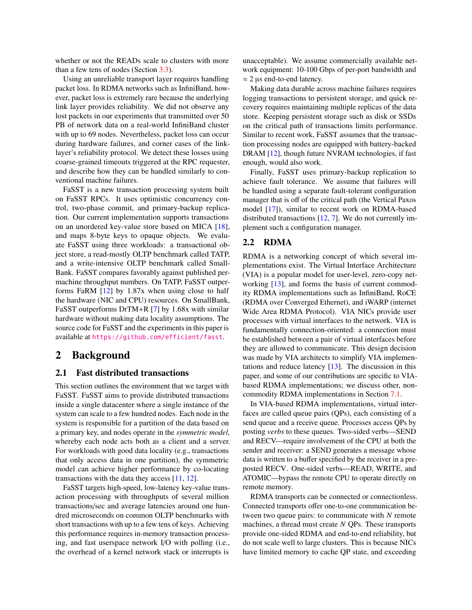whether or not the READs scale to clusters with more than a few tens of nodes (Section [3.3\)](#page-3-0).

Using an unreliable transport layer requires handling packet loss. In RDMA networks such as InfiniBand, however, packet loss is extremely rare because the underlying link layer provides reliability. We did not observe any lost packets in our experiments that transmitted over 50 PB of network data on a real-world InfiniBand cluster with up to 69 nodes. Nevertheless, packet loss can occur during hardware failures, and corner cases of the linklayer's reliability protocol. We detect these losses using coarse-grained timeouts triggered at the RPC requester, and describe how they can be handled similarly to conventional machine failures.

FaSST is a new transaction processing system built on FaSST RPCs. It uses optimistic concurrency control, two-phase commit, and primary-backup replication. Our current implementation supports transactions on an unordered key-value store based on MICA [\[18\]](#page-15-6), and maps 8-byte keys to opaque objects. We evaluate FaSST using three workloads: a transactional object store, a read-mostly OLTP benchmark called TATP, and a write-intensive OLTP benchmark called Small-Bank. FaSST compares favorably against published permachine throughput numbers. On TATP, FaSST outperforms FaRM [\[12\]](#page-15-1) by 1.87x when using close to half the hardware (NIC and CPU) resources. On SmallBank, FaSST outperforms DrTM+R [\[7\]](#page-15-2) by 1.68x with similar hardware without making data locality assumptions. The source code for FaSST and the experiments in this paper is available at <https://github.com/efficient/fasst>.

# 2 Background

# 2.1 Fast distributed transactions

This section outlines the environment that we target with FaSST. FaSST aims to provide distributed transactions inside a single datacenter where a single instance of the system can scale to a few hundred nodes. Each node in the system is responsible for a partition of the data based on a primary key, and nodes operate in the *symmetric model*, whereby each node acts both as a client and a server. For workloads with good data locality (e.g., transactions that only access data in one partition), the symmetric model can achieve higher performance by co-locating transactions with the data they access [\[11,](#page-15-5) [12\]](#page-15-1).

FaSST targets high-speed, low-latency key-value transaction processing with throughputs of several million transactions/sec and average latencies around one hundred microseconds on common OLTP benchmarks with short transactions with up to a few tens of keys. Achieving this performance requires in-memory transaction processing, and fast userspace network I/O with polling (i.e., the overhead of a kernel network stack or interrupts is unacceptable). We assume commercially available network equipment: 10-100 Gbps of per-port bandwidth and  $\approx$  2 µs end-to-end latency.

Making data durable across machine failures requires logging transactions to persistent storage, and quick recovery requires maintaining multiple replicas of the data store. Keeping persistent storage such as disk or SSDs on the critical path of transactions limits performance. Similar to recent work, FaSST assumes that the transaction processing nodes are equipped with battery-backed DRAM [\[12\]](#page-15-1), though future NVRAM technologies, if fast enough, would also work.

Finally, FaSST uses primary-backup replication to achieve fault tolerance. We assume that failures will be handled using a separate fault-tolerant configuration manager that is off of the critical path (the Vertical Paxos model [\[17\]](#page-15-7)), similar to recent work on RDMA-based distributed transactions [\[12,](#page-15-1) [7\]](#page-15-2). We do not currently implement such a configuration manager.

## 2.2 RDMA

RDMA is a networking concept of which several implementations exist. The Virtual Interface Architecture (VIA) is a popular model for user-level, zero-copy networking [\[13\]](#page-15-8), and forms the basis of current commodity RDMA implementations such as InfiniBand, RoCE (RDMA over Converged Ethernet), and iWARP (internet Wide Area RDMA Protocol). VIA NICs provide user processes with virtual interfaces to the network. VIA is fundamentally connection-oriented: a connection must be established between a pair of virtual interfaces before they are allowed to communicate. This design decision was made by VIA architects to simplify VIA implementations and reduce latency [\[13\]](#page-15-8). The discussion in this paper, and some of our contributions are specific to VIAbased RDMA implementations; we discuss other, noncommodity RDMA implementations in Section [7.1.](#page-13-0)

In VIA-based RDMA implementations, virtual interfaces are called queue pairs (QPs), each consisting of a send queue and a receive queue. Processes access QPs by posting *verbs* to these queues. Two-sided verbs—SEND and RECV—require involvement of the CPU at both the sender and receiver: a SEND generates a message whose data is written to a buffer specified by the receiver in a preposted RECV. One-sided verbs—READ, WRITE, and ATOMIC—bypass the remote CPU to operate directly on remote memory.

RDMA transports can be connected or connectionless. Connected transports offer one-to-one communication between two queue pairs: to communicate with *N* remote machines, a thread must create *N* QPs. These transports provide one-sided RDMA and end-to-end reliability, but do not scale well to large clusters. This is because NICs have limited memory to cache QP state, and exceeding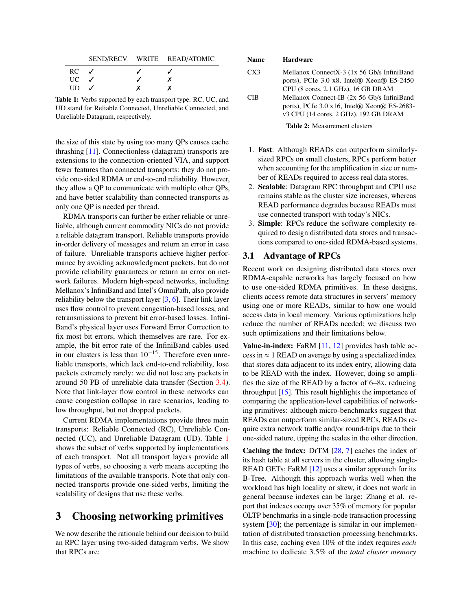<span id="page-2-0"></span>

|      |                          | SEND/RECV WRITE READ/ATOMIC |
|------|--------------------------|-----------------------------|
| RC.  | $\overline{\mathcal{L}}$ |                             |
| UC – |                          |                             |
| UD.  |                          |                             |

Table 1: Verbs supported by each transport type. RC, UC, and UD stand for Reliable Connected, Unreliable Connected, and Unreliable Datagram, respectively.

the size of this state by using too many QPs causes cache thrashing [\[11\]](#page-15-5). Connectionless (datagram) transports are extensions to the connection-oriented VIA, and support fewer features than connected transports: they do not provide one-sided RDMA or end-to-end reliability. However, they allow a QP to communicate with multiple other QPs, and have better scalability than connected transports as only one QP is needed per thread.

RDMA transports can further be either reliable or unreliable, although current commodity NICs do not provide a reliable datagram transport. Reliable transports provide in-order delivery of messages and return an error in case of failure. Unreliable transports achieve higher performance by avoiding acknowledgment packets, but do not provide reliability guarantees or return an error on network failures. Modern high-speed networks, including Mellanox's InfiniBand and Intel's OmniPath, also provide reliability below the transport layer [\[3,](#page-15-9) [6\]](#page-15-10). Their link layer uses flow control to prevent congestion-based losses, and retransmissions to prevent bit error-based losses. Infini-Band's physical layer uses Forward Error Correction to fix most bit errors, which themselves are rare. For example, the bit error rate of the InfiniBand cables used in our clusters is less than  $10^{-15}$ . Therefore even unreliable transports, which lack end-to-end reliability, lose packets extremely rarely: we did not lose any packets in around 50 PB of unreliable data transfer (Section [3.4\)](#page-6-0). Note that link-layer flow control in these networks can cause congestion collapse in rare scenarios, leading to low throughput, but not dropped packets.

Current RDMA implementations provide three main transports: Reliable Connected (RC), Unreliable Connected (UC), and Unreliable Datagram (UD). Table [1](#page-2-0) shows the subset of verbs supported by implementations of each transport. Not all transport layers provide all types of verbs, so choosing a verb means accepting the limitations of the available transports. Note that only connected transports provide one-sided verbs, limiting the scalability of designs that use these verbs.

# 3 Choosing networking primitives

We now describe the rationale behind our decision to build an RPC layer using two-sided datagram verbs. We show that RPCs are:

<span id="page-2-1"></span>

| <b>Name</b> | <b>Hardware</b>                                                                                                                                       |
|-------------|-------------------------------------------------------------------------------------------------------------------------------------------------------|
| CX3         | Mellanox ConnectX-3 (1x 56 Gb/s InfiniBand<br>ports), PCIe 3.0 x8, Intel® Xeon® E5-2450<br>CPU (8 cores, 2.1 GHz), 16 GB DRAM                         |
| CIB         | Mellanox Connect-IB (2x 56 Gb/s InfiniBand<br>ports), PCIe $3.0 \times 16$ , Intel $\Re$ Xeon $\Re$ E5-2683-<br>v3 CPU (14 cores, 2 GHz), 192 GB DRAM |
|             | <b>Table 2: Measurement clusters</b>                                                                                                                  |

- 1. Fast: Although READs can outperform similarlysized RPCs on small clusters, RPCs perform better when accounting for the amplification in size or number of READs required to access real data stores.
- 2. Scalable: Datagram RPC throughput and CPU use remains stable as the cluster size increases, whereas READ performance degrades because READs must use connected transport with today's NICs.
- 3. Simple: RPCs reduce the software complexity required to design distributed data stores and transactions compared to one-sided RDMA-based systems.

### 3.1 Advantage of RPCs

Recent work on designing distributed data stores over RDMA-capable networks has largely focused on how to use one-sided RDMA primitives. In these designs, clients access remote data structures in servers' memory using one or more READs, similar to how one would access data in local memory. Various optimizations help reduce the number of READs needed; we discuss two such optimizations and their limitations below.

**Value-in-index:** FaRM  $[11, 12]$  $[11, 12]$  $[11, 12]$  provides hash table access in  $\approx$  1 READ on average by using a specialized index that stores data adjacent to its index entry, allowing data to be READ with the index. However, doing so amplifies the size of the READ by a factor of 6–8x, reducing throughput  $[15]$ . This result highlights the importance of comparing the application-level capabilities of networking primitives: although micro-benchmarks suggest that READs can outperform similar-sized RPCs, READs require extra network traffic and/or round-trips due to their one-sided nature, tipping the scales in the other direction.

Caching the index: DrTM [\[28,](#page-16-0) [7\]](#page-15-2) caches the index of its hash table at all servers in the cluster, allowing single-READ GETs; FaRM [\[12\]](#page-15-1) uses a similar approach for its B-Tree. Although this approach works well when the workload has high locality or skew, it does not work in general because indexes can be large: Zhang et al. report that indexes occupy over 35% of memory for popular OLTP benchmarks in a single-node transaction processing system [\[30\]](#page-16-1); the percentage is similar in our implementation of distributed transaction processing benchmarks. In this case, caching even 10% of the index requires *each* machine to dedicate 3.5% of the *total cluster memory*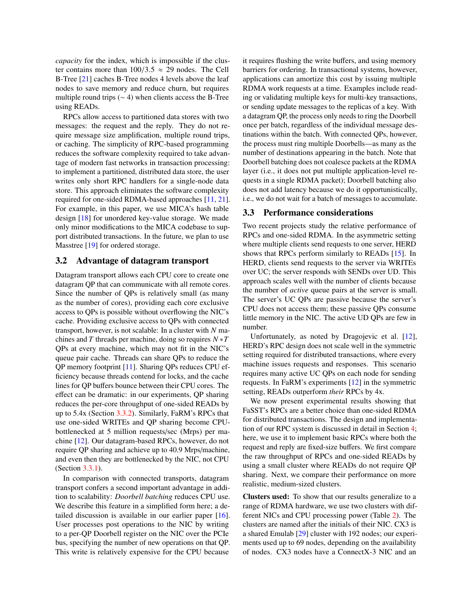*capacity* for the index, which is impossible if the cluster contains more than  $100/3.5 \approx 29$  nodes. The Cell B-Tree [\[21\]](#page-15-11) caches B-Tree nodes 4 levels above the leaf nodes to save memory and reduce churn, but requires multiple round trips  $({\sim} 4)$  when clients access the B-Tree using READs.

RPCs allow access to partitioned data stores with two messages: the request and the reply. They do not require message size amplification, multiple round trips, or caching. The simplicity of RPC-based programming reduces the software complexity required to take advantage of modern fast networks in transaction processing: to implement a partitioned, distributed data store, the user writes only short RPC handlers for a single-node data store. This approach eliminates the software complexity required for one-sided RDMA-based approaches [\[11,](#page-15-5) [21\]](#page-15-11). For example, in this paper, we use MICA's hash table design [\[18\]](#page-15-6) for unordered key-value storage. We made only minor modifications to the MICA codebase to support distributed transactions. In the future, we plan to use Masstree [\[19\]](#page-15-12) for ordered storage.

### 3.2 Advantage of datagram transport

Datagram transport allows each CPU core to create one datagram QP that can communicate with all remote cores. Since the number of QPs is relatively small (as many as the number of cores), providing each core exclusive access to QPs is possible without overflowing the NIC's cache. Providing exclusive access to QPs with connected transport, however, is not scalable: In a cluster with *N* machines and *T* threads per machine, doing so requires *N* ∗*T* QPs at every machine, which may not fit in the NIC's queue pair cache. Threads can share QPs to reduce the QP memory footprint [\[11\]](#page-15-5). Sharing QPs reduces CPU efficiency because threads contend for locks, and the cache lines for QP buffers bounce between their CPU cores. The effect can be dramatic: in our experiments, QP sharing reduces the per-core throughput of one-sided READs by up to 5.4x (Section [3.3.2\)](#page-5-0). Similarly, FaRM's RPCs that use one-sided WRITEs and QP sharing become CPUbottlenecked at 5 million requests/sec (Mrps) per machine [\[12\]](#page-15-1). Our datagram-based RPCs, however, do not require QP sharing and achieve up to 40.9 Mrps/machine, and even then they are bottlenecked by the NIC, not CPU (Section [3.3.1\)](#page-4-0).

In comparison with connected transports, datagram transport confers a second important advantage in addition to scalability: *Doorbell batching* reduces CPU use. We describe this feature in a simplified form here; a detailed discussion is available in our earlier paper [\[16\]](#page-15-13). User processes post operations to the NIC by writing to a per-QP Doorbell register on the NIC over the PCIe bus, specifying the number of new operations on that QP. This write is relatively expensive for the CPU because

it requires flushing the write buffers, and using memory barriers for ordering. In transactional systems, however, applications can amortize this cost by issuing multiple RDMA work requests at a time. Examples include reading or validating multiple keys for multi-key transactions, or sending update messages to the replicas of a key. With a datagram QP, the process only needs to ring the Doorbell once per batch, regardless of the individual message destinations within the batch. With connected QPs, however, the process must ring multiple Doorbells—as many as the number of destinations appearing in the batch. Note that Doorbell batching does not coalesce packets at the RDMA layer (i.e., it does not put multiple application-level requests in a single RDMA packet); Doorbell batching also does not add latency because we do it opportunistically, i.e., we do not wait for a batch of messages to accumulate.

### <span id="page-3-0"></span>3.3 Performance considerations

Two recent projects study the relative performance of RPCs and one-sided RDMA. In the asymmetric setting where multiple clients send requests to one server, HERD shows that RPCs perform similarly to READs [\[15\]](#page-15-4). In HERD, clients send requests to the server via WRITEs over UC; the server responds with SENDs over UD. This approach scales well with the number of clients because the number of *active* queue pairs at the server is small. The server's UC QPs are passive because the server's CPU does not access them; these passive QPs consume little memory in the NIC. The active UD QPs are few in number.

Unfortunately, as noted by Dragojevic et al. [\[12\]](#page-15-1), HERD's RPC design does not scale well in the symmetric setting required for distributed transactions, where every machine issues requests and responses. This scenario requires many active UC QPs on each node for sending requests. In FaRM's experiments [\[12\]](#page-15-1) in the symmetric setting, READs outperform *their* RPCs by 4x.

We now present experimental results showing that FaSST's RPCs are a better choice than one-sided RDMA for distributed transactions. The design and implementation of our RPC system is discussed in detail in Section [4;](#page-6-1) here, we use it to implement basic RPCs where both the request and reply are fixed-size buffers. We first compare the raw throughput of RPCs and one-sided READs by using a small cluster where READs do not require QP sharing. Next, we compare their performance on more realistic, medium-sized clusters.

Clusters used: To show that our results generalize to a range of RDMA hardware, we use two clusters with different NICs and CPU processing power (Table [2\)](#page-2-1). The clusters are named after the initials of their NIC. CX3 is a shared Emulab [\[29\]](#page-16-2) cluster with 192 nodes; our experiments used up to 69 nodes, depending on the availability of nodes. CX3 nodes have a ConnectX-3 NIC and an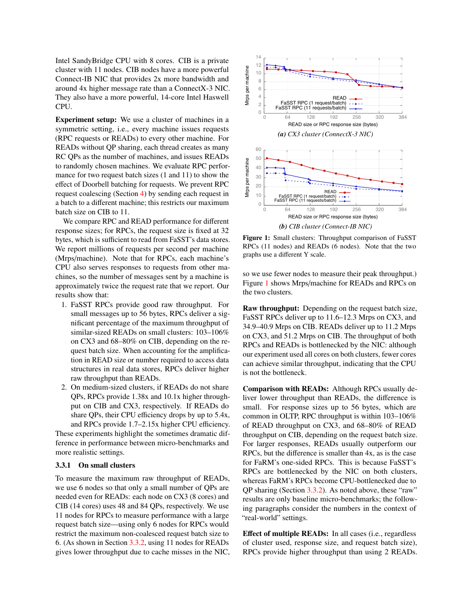Intel SandyBridge CPU with 8 cores. CIB is a private cluster with 11 nodes. CIB nodes have a more powerful Connect-IB NIC that provides 2x more bandwidth and around 4x higher message rate than a ConnectX-3 NIC. They also have a more powerful, 14-core Intel Haswell CPU.

**Experiment setup:** We use a cluster of machines in a symmetric setting, *i.e.*, every machine issues requests (RPC requests or READs) to every other machine. For READs without QP sharing, each thread creates as many RC QPs as the number of machines, and issues READs to randomly chosen machines. We evaluate RPC performance for two request batch sizes (1 and 11) to show the effect of Doorbell batching for requests. We prevent RPC request coalescing (Section 4) by sending each request in a batch to a different machine; this restricts our maximum batch size on CIB to 11.

We compare RPC and READ performance for different response sizes; for RPCs, the request size is fixed at 32 bytes, which is sufficient to read from FaSST's data stores. We report millions of requests per second per machine (Mrps/machine). Note that for RPCs, each machine's CPU also serves responses to requests from other machines, so the number of messages sent by a machine is approximately twice the request rate that we report. Our results show that:

- 1. FaSST RPCs provide good raw throughput. For small messages up to 56 bytes, RPCs deliver a significant percentage of the maximum throughput of similar-sized READs on small clusters: 103-106% on CX3 and 68–80% on CIB, depending on the request batch size. When accounting for the amplification in READ size or number required to access data structures in real data stores, RPCs deliver higher raw throughput than READs.
- 2. On medium-sized clusters, if READs do not share QPs, RPCs provide 1.38x and 10.1x higher throughput on CIB and CX3, respectively. If READs do share QPs, their CPU efficiency drops by up to 5.4x, and RPCs provide 1.7–2.15x higher CPU efficiency.

These experiments highlight the sometimes dramatic difference in performance between micro-benchmarks and more realistic settings.

### <span id="page-4-0"></span>3.3.1 On small clusters

To measure the maximum raw throughput of READs, we use 6 nodes so that only a small number of QPs are needed even for READs: each node on CX3 (8 cores) and CIB (14 cores) uses 48 and 84 OPs, respectively. We use 11 nodes for RPCs to measure performance with a large request batch size—using only 6 nodes for RPCs would restrict the maximum non-coalesced request batch size to 6. (As shown in Section 3.3.2, using 11 nodes for READs gives lower throughput due to cache misses in the NIC,

<span id="page-4-1"></span>

Figure 1: Small clusters: Throughput comparison of FaSST RPCs (11 nodes) and READs (6 nodes). Note that the two graphs use a different Y scale.

so we use fewer nodes to measure their peak throughput.) Figure 1 shows Mrps/machine for READs and RPCs on the two clusters.

Raw throughput: Depending on the request batch size, FaSST RPCs deliver up to 11.6–12.3 Mrps on CX3, and 34.9–40.9 Mrps on CIB. READs deliver up to 11.2 Mrps on CX3, and 51.2 Mrps on CIB. The throughput of both RPCs and READs is bottlenecked by the NIC: although our experiment used all cores on both clusters, fewer cores can achieve similar throughput, indicating that the CPU is not the bottleneck.

Comparison with READs: Although RPCs usually deliver lower throughput than READs, the difference is small. For response sizes up to 56 bytes, which are common in OLTP, RPC throughput is within 103–106% of READ throughput on CX3, and 68-80% of READ throughput on CIB, depending on the request batch size. For larger responses, READs usually outperform our RPCs, but the difference is smaller than 4x, as is the case for FaRM's one-sided RPCs. This is because FaSST's RPCs are bottlenecked by the NIC on both clusters, whereas FaRM's RPCs become CPU-bottlenecked due to  $QP$  sharing (Section 3.3.2). As noted above, these "raw" results are only baseline micro-benchmarks; the following paragraphs consider the numbers in the context of "real-world" settings.

**Effect of multiple READs:** In all cases (i.e., regardless of cluster used, response size, and request batch size), RPCs provide higher throughput than using 2 READs.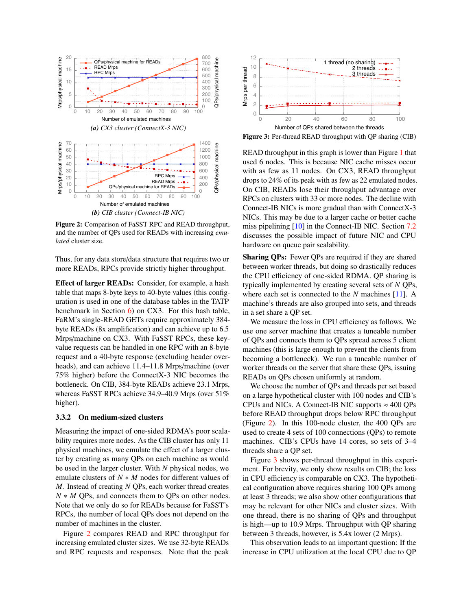<span id="page-5-1"></span>

Figure 2: Comparison of FaSST RPC and READ throughput, and the number of QPs used for READs with increasing emulated cluster size.

Thus, for any data store/data structure that requires two or more READs, RPCs provide strictly higher throughput.

Effect of larger READs: Consider, for example, a hash table that maps 8-byte keys to 40-byte values (this configuration is used in one of the database tables in the TATP benchmark in Section  $6$ ) on CX3. For this hash table, FaRM's single-READ GETs require approximately 384byte READs (8x amplification) and can achieve up to 6.5 Mrps/machine on CX3. With FaSST RPCs, these keyvalue requests can be handled in one RPC with an 8-byte request and a 40-byte response (excluding header overheads), and can achieve 11.4–11.8 Mrps/machine (over 75% higher) before the ConnectX-3 NIC becomes the bottleneck. On CIB, 384-byte READs achieve 23.1 Mrps, whereas FaSST RPCs achieve 34.9-40.9 Mrps (over 51%) higher).

### <span id="page-5-0"></span>3.3.2 On medium-sized clusters

Measuring the impact of one-sided RDMA's poor scalability requires more nodes. As the CIB cluster has only 11 physical machines, we emulate the effect of a larger cluster by creating as many QPs on each machine as would be used in the larger cluster. With  $N$  physical nodes, we emulate clusters of  $N * M$  nodes for different values of  $M$ . Instead of creating  $N$  QPs, each worker thread creates  $N * M$  QPs, and connects them to QPs on other nodes. Note that we only do so for READs because for FaSST's RPCs, the number of local QPs does not depend on the number of machines in the cluster.

Figure 2 compares READ and RPC throughput for increasing emulated cluster sizes. We use 32-byte READs and RPC requests and responses. Note that the peak

<span id="page-5-2"></span>

Figure 3: Per-thread READ throughput with QP sharing (CIB)

READ throughput in this graph is lower than Figure 1 that used 6 nodes. This is because NIC cache misses occur with as few as 11 nodes. On CX3, READ throughput drops to 24% of its peak with as few as 22 emulated nodes. On CIB, READs lose their throughput advantage over RPCs on clusters with 33 or more nodes. The decline with Connect-IB NICs is more gradual than with ConnectX-3 NICs. This may be due to a larger cache or better cache miss pipelining  $[10]$  in the Connect-IB NIC. Section 7.2 discusses the possible impact of future NIC and CPU hardware on queue pair scalability.

**Sharing OPs:** Fewer QPs are required if they are shared between worker threads, but doing so drastically reduces the CPU efficiency of one-sided RDMA. QP sharing is typically implemented by creating several sets of N QPs, where each set is connected to the  $N$  machines [11]. A machine's threads are also grouped into sets, and threads in a set share a QP set.

We measure the loss in CPU efficiency as follows. We use one server machine that creates a tuneable number of QPs and connects them to QPs spread across 5 client machines (this is large enough to prevent the clients from becoming a bottleneck). We run a tuneable number of worker threads on the server that share these QPs, issuing READs on QPs chosen uniformly at random.

We choose the number of QPs and threads per set based on a large hypothetical cluster with 100 nodes and CIB's CPUs and NICs. A Connect-IB NIC supports  $\approx 400$  QPs before READ throughput drops below RPC throughput (Figure 2). In this 100-node cluster, the 400 QPs are used to create 4 sets of 100 connections (QPs) to remote machines. CIB's CPUs have 14 cores, so sets of 3–4 threads share a QP set.

Figure 3 shows per-thread throughput in this experiment. For brevity, we only show results on CIB; the loss in CPU efficiency is comparable on CX3. The hypothetical configuration above requires sharing 100 QPs among at least 3 threads; we also show other configurations that may be relevant for other NICs and cluster sizes. With one thread, there is no sharing of QPs and throughput is high—up to 10.9 Mrps. Throughput with QP sharing between 3 threads, however, is 5.4x lower (2 Mrps).

This observation leads to an important question: If the increase in CPU utilization at the local CPU due to QP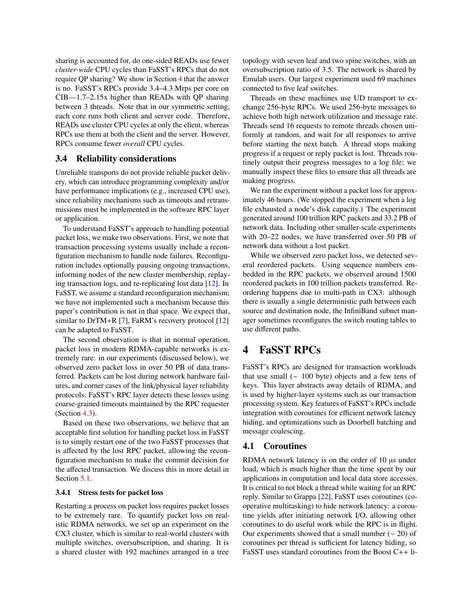sharing is accounted for, do one-sided READs use fewer *cluster-wide* CPU cycles than FaSST's RPCs that do not require QP sharing? We show in Section [4](#page-6-1) that the answer is no. FaSST's RPCs provide 3.4–4.3 Mrps per core on CIB—1.7–2.15x higher than READs with QP sharing between 3 threads. Note that in our symmetric setting, each core runs both client and server code. Therefore, READs use cluster CPU cycles at only the client, whereas RPCs use them at both the client and the server. However, RPCs consume fewer *overall* CPU cycles.

## <span id="page-6-0"></span>3.4 Reliability considerations

Unreliable transports do not provide reliable packet delivery, which can introduce programming complexity and/or have performance implications (e.g., increased CPU use), since reliability mechanisms such as timeouts and retransmissions must be implemented in the software RPC layer or application.

To understand FaSST's approach to handling potential packet loss, we make two observations. First, we note that transaction processing systems usually include a reconfiguration mechanism to handle node failures. Reconfiguration includes optionally pausing ongoing transactions, informing nodes of the new cluster membership, replaying transaction logs, and re-replicating lost data [\[12\]](#page-15-1). In FaSST, we assume a standard reconfiguration mechanism; we have not implemented such a mechanism because this paper's contribution is not in that space. We expect that, similar to DrTM+R [\[7\]](#page-15-2), FaRM's recovery protocol [\[12\]](#page-15-1) can be adapted to FaSST.

The second observation is that in normal operation, packet loss in modern RDMA-capable networks is extremely rare: in our experiments (discussed below), we observed zero packet loss in over 50 PB of data transferred. Packets can be lost during network hardware failures, and corner cases of the link/physical layer reliability protocols. FaSST's RPC layer detects these losses using coarse-grained timeouts maintained by the RPC requester (Section [4.3\)](#page-7-0).

Based on these two observations, we believe that an acceptable first solution for handling packet loss in FaSST is to simply restart one of the two FaSST processes that is affected by the lost RPC packet, allowing the reconfiguration mechanism to make the commit decision for the affected transaction. We discuss this in more detail in Section [5.1.](#page-9-0)

### 3.4.1 Stress tests for packet loss

Restarting a process on packet loss requires packet losses to be extremely rare. To quantify packet loss on realistic RDMA networks, we set up an experiment on the CX3 cluster, which is similar to real-world clusters with multiple switches, oversubscription, and sharing. It is a shared cluster with 192 machines arranged in a tree

topology with seven leaf and two spine switches, with an oversubscription ratio of 3.5. The network is shared by Emulab users. Our largest experiment used 69 machines connected to five leaf switches.

Threads on these machines use UD transport to exchange 256-byte RPCs. We used 256-byte messages to achieve both high network utilization and message rate. Threads send 16 requests to remote threads chosen uniformly at random, and wait for all responses to arrive before starting the next batch. A thread stops making progress if a request or reply packet is lost. Threads routinely output their progress messages to a log file; we manually inspect these files to ensure that all threads are making progress.

We ran the experiment without a packet loss for approximately 46 hours. (We stopped the experiment when a log file exhausted a node's disk capacity.) The experiment generated around 100 trillion RPC packets and 33.2 PB of network data. Including other smaller-scale experiments with 20–22 nodes, we have transferred over 50 PB of network data without a lost packet.

While we observed zero packet loss, we detected several reordered packets. Using sequence numbers embedded in the RPC packets, we observed around 1500 reordered packets in 100 trillion packets transferred. Reordering happens due to multi-path in CX3: although there is usually a single deterministic path between each source and destination node, the InfiniBand subnet manager sometimes reconfigures the switch routing tables to use different paths.

# <span id="page-6-1"></span>4 FaSST RPCs

FaSST's RPCs are designed for transaction workloads that use small (∼ 100 byte) objects and a few tens of keys. This layer abstracts away details of RDMA, and is used by higher-layer systems such as our transaction processing system. Key features of FaSST's RPCs include integration with coroutines for efficient network latency hiding, and optimizations such as Doorbell batching and message coalescing.

## 4.1 Coroutines

RDMA network latency is on the order of 10 µs under load, which is much higher than the time spent by our applications in computation and local data store accesses. It is critical to not block a thread while waiting for an RPC reply. Similar to Grappa [\[22\]](#page-15-15), FaSST uses coroutines (cooperative multitasking) to hide network latency: a coroutine yields after initiating network I/O, allowing other coroutines to do useful work while the RPC is in flight. Our experiments showed that a small number  $(~ 20)$  of coroutines per thread is sufficient for latency hiding, so FaSST uses standard coroutines from the Boost C++ li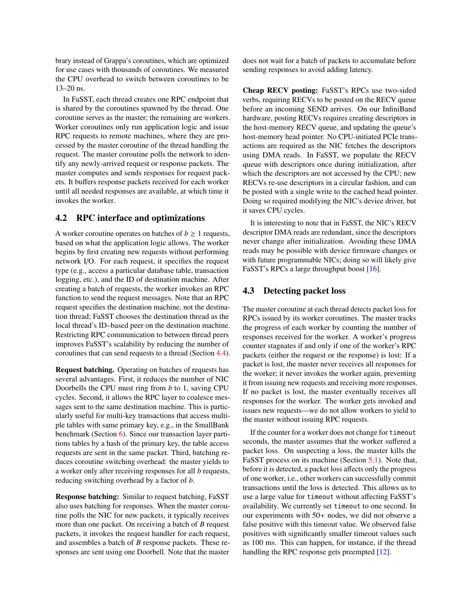brary instead of Grappa's coroutines, which are optimized for use cases with thousands of coroutines. We measured the CPU overhead to switch between coroutines to be 13–20 ns.

In FaSST, each thread creates one RPC endpoint that is shared by the coroutines spawned by the thread. One coroutine serves as the master; the remaining are workers. Worker coroutines only run application logic and issue RPC requests to remote machines, where they are processed by the master coroutine of the thread handling the request. The master coroutine polls the network to identify any newly-arrived request or response packets. The master computes and sends responses for request packets. It buffers response packets received for each worker until all needed responses are available, at which time it invokes the worker.

## 4.2 RPC interface and optimizations

A worker coroutine operates on batches of  $b \geq 1$  requests, based on what the application logic allows. The worker begins by first creating new requests without performing network I/O. For each request, it specifies the request type (e.g., access a particular database table, transaction logging, etc.), and the ID of destination machine. After creating a batch of requests, the worker invokes an RPC function to send the request messages. Note that an RPC request specifies the destination machine, not the destination thread; FaSST chooses the destination thread as the local thread's ID–based peer on the destination machine. Restricting RPC communication to between thread peers improves FaSST's scalability by reducing the number of coroutines that can send requests to a thread (Section [4.4\)](#page-8-1).

Request batching. Operating on batches of requests has several advantages. First, it reduces the number of NIC Doorbells the CPU must ring from *b* to 1, saving CPU cycles. Second, it allows the RPC layer to coalesce messages sent to the same destination machine. This is particularly useful for multi-key transactions that access multiple tables with same primary key, e.g., in the SmallBank benchmark (Section [6\)](#page-10-0). Since our transaction layer partitions tables by a hash of the primary key, the table access requests are sent in the same packet. Third, batching reduces coroutine switching overhead: the master yields to a worker only after receiving responses for all *b* requests, reducing switching overhead by a factor of *b*.

Response batching: Similar to request batching, FaSST also uses batching for responses. When the master coroutine polls the NIC for new packets, it typically receives more than one packet. On receiving a batch of *B* request packets, it invokes the request handler for each request, and assembles a batch of *B* response packets. These responses are sent using one Doorbell. Note that the master does not wait for a batch of packets to accumulate before sending responses to avoid adding latency.

Cheap RECV posting: FaSST's RPCs use two-sided verbs, requiring RECVs to be posted on the RECV queue before an incoming SEND arrives. On our InfiniBand hardware, posting RECVs requires creating descriptors in the host-memory RECV queue, and updating the queue's host-memory head pointer. No CPU-initiated PCIe transactions are required as the NIC fetches the descriptors using DMA reads. In FaSST, we populate the RECV queue with descriptors once during initialization, after which the descriptors are not accessed by the CPU; new RECVs re-use descriptors in a circular fashion, and can be posted with a single write to the cached head pointer. Doing so required modifying the NIC's device driver, but it saves CPU cycles.

It is interesting to note that in FaSST, the NIC's RECV descriptor DMA reads are redundant, since the descriptors never change after initialization. Avoiding these DMA reads may be possible with device firmware changes or with future programmable NICs; doing so will likely give FaSST's RPCs a large throughput boost [\[16\]](#page-15-13).

### <span id="page-7-0"></span>4.3 Detecting packet loss

The master coroutine at each thread detects packet loss for RPCs issued by its worker coroutines. The master tracks the progress of each worker by counting the number of responses received for the worker. A worker's progress counter stagnates if and only if one of the worker's RPC packets (either the request or the response) is lost: If a packet is lost, the master never receives all responses for the worker; it never invokes the worker again, preventing it from issuing new requests and receiving more responses. If no packet is lost, the master eventually receives all responses for the worker. The worker gets invoked and issues new requests—we do not allow workers to yield to the master without issuing RPC requests.

If the counter for a worker does not change for timeout seconds, the master assumes that the worker suffered a packet loss. On suspecting a loss, the master kills the FaSST process on its machine (Section [5.1\)](#page-9-0). Note that, before it is detected, a packet loss affects only the progress of one worker, i.e., other workers can successfully commit transactions until the loss is detected. This allows us to use a large value for timeout without affecting FaSST's availability. We currently set timeout to one second. In our experiments with 50+ nodes, we did not observe a false positive with this timeout value. We observed false positives with significantly smaller timeout values such as 100 ms. This can happen, for instance, if the thread handling the RPC response gets preempted [\[12\]](#page-15-1).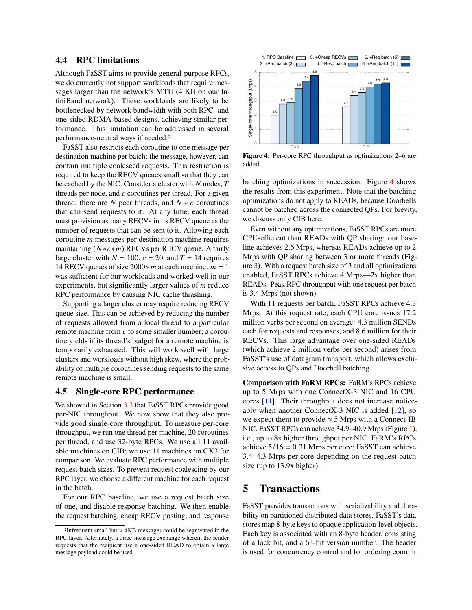#### <span id="page-8-1"></span>4.4 **RPC** limitations

Although FaSST aims to provide general-purpose RPCs, we do currently not support workloads that require messages larger than the network's MTU (4 KB on our InfiniBand network). These workloads are likely to be bottlenecked by network bandwidth with both RPC- and one-sided RDMA-based designs, achieving similar performance. This limitation can be addressed in several performance-neutral ways if needed.<sup>2</sup>

FaSST also restricts each coroutine to one message per destination machine per batch; the message, however, can contain multiple coalesced requests. This restriction is required to keep the RECV queues small so that they can be cached by the NIC. Consider a cluster with  $N$  nodes,  $T$ threads per node, and  $c$  coroutines per thread. For a given thread, there are  $N$  peer threads, and  $N * c$  coroutines that can send requests to it. At any time, each thread must provision as many RECVs in its RECV queue as the number of requests that can be sent to it. Allowing each coroutine *m* messages per destination machine requires maintaining  $(N * c * m)$  RECVs per RECV queue. A fairly large cluster with  $N = 100$ ,  $c = 20$ , and  $T = 14$  requires 14 RECV queues of size  $2000 \times m$  at each machine.  $m = 1$ was sufficient for our workloads and worked well in our experiments, but significantly larger values of  $m$  reduce RPC performance by causing NIC cache thrashing.

Supporting a larger cluster may require reducing RECV queue size. This can be achieved by reducing the number of requests allowed from a local thread to a particular remote machine from c to some smaller number; a coroutine yields if its thread's budget for a remote machine is temporarily exhausted. This will work well with large clusters and workloads without high skew, where the probability of multiple coroutines sending requests to the same remote machine is small.

#### <span id="page-8-0"></span>**Single-core RPC performance** 4.5

We showed in Section 3.3 that FaSST RPCs provide good per-NIC throughput. We now show that they also provide good single-core throughput. To measure per-core throughput, we run one thread per machine, 20 coroutines per thread, and use 32-byte RPCs. We use all 11 available machines on CIB; we use 11 machines on CX3 for comparison. We evaluate RPC performance with multiple request batch sizes. To prevent request coalescing by our RPC layer, we choose a different machine for each request in the batch.

For our RPC baseline, we use a request batch size of one, and disable response batching. We then enable the request batching, cheap RECV posting, and response

<span id="page-8-2"></span>

Figure 4: Per-core RPC throughput as optimizations 2–6 are added

batching optimizations in succession. Figure 4 shows the results from this experiment. Note that the batching optimizations do not apply to READs, because Doorbells cannot be batched across the connected QPs. For brevity, we discuss only CIB here.

Even without any optimizations, FaSST RPCs are more CPU-efficient than READs with QP sharing: our baseline achieves 2.6 Mrps, whereas READs achieve up to 2 Mrps with QP sharing between 3 or more threads (Fig $ure 3)$ . With a request batch size of 3 and all optimizations enabled, FaSST RPCs achieve 4 Mrps-2x higher than READs. Peak RPC throughput with one request per batch is 3.4 Mrps (not shown).

With 11 requests per batch, FaSST RPCs achieve 4.3 Mrps. At this request rate, each CPU core issues 17.2 million verbs per second on average: 4.3 million SENDs each for requests and responses, and 8.6 million for their RECVs. This large advantage over one-sided READs (which achieve 2 million verbs per second) arises from FaSST's use of datagram transport, which allows exclusive access to QPs and Doorbell batching.

**Comparison with FaRM RPCs: FaRM's RPCs achieve** up to 5 Mrps with one Connect X-3 NIC and 16 CPU cores [11]. Their throughput does not increase noticeably when another ConnectX-3 NIC is added  $[12]$ , so we expect them to provide  $\approx$  5 Mrps with a Connect-IB NIC. FaSST RPCs can achieve 34.9–40.9 Mrps (Figure 1), i.e., up to 8x higher throughput per NIC. FaRM's RPCs achieve  $5/16 = 0.31$  Mrps per core; FaSST can achieve 3.4–4.3 Mrps per core depending on the request batch size (up to 13.9x higher).

#### 5 **Transactions**

FaSST provides transactions with serializability and durability on partitioned distributed data stores. FaSST's data stores map 8-byte keys to opaque application-level objects. Each key is associated with an 8-byte header, consisting of a lock bit, and a 63-bit version number. The header is used for concurrency control and for ordering commit

<sup>&</sup>lt;sup>2</sup>Infrequent small but > 4KB messages could be segmented in the RPC layer. Alternately, a three-message exchange wherein the sender requests that the recipient use a one-sided READ to obtain a large message payload could be used.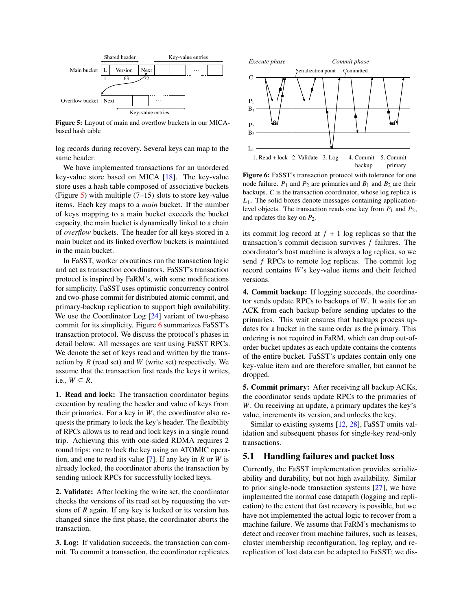<span id="page-9-1"></span>

Figure 5: Layout of main and overflow buckets in our MICAbased hash table

log records during recovery. Several keys can map to the same header.

We have implemented transactions for an unordered key-value store based on MICA [\[18\]](#page-15-6). The key-value store uses a hash table composed of associative buckets (Figure [5\)](#page-9-1) with multiple  $(7-15)$  slots to store key-value items. Each key maps to a *main* bucket. If the number of keys mapping to a main bucket exceeds the bucket capacity, the main bucket is dynamically linked to a chain of *overflow* buckets. The header for all keys stored in a main bucket and its linked overflow buckets is maintained in the main bucket.

In FaSST, worker coroutines run the transaction logic and act as transaction coordinators. FaSST's transaction protocol is inspired by FaRM's, with some modifications for simplicity. FaSST uses optimistic concurrency control and two-phase commit for distributed atomic commit, and primary-backup replication to support high availability. We use the Coordinator Log [\[24\]](#page-15-16) variant of two-phase commit for its simplicity. Figure [6](#page-9-2) summarizes FaSST's transaction protocol. We discuss the protocol's phases in detail below. All messages are sent using FaSST RPCs. We denote the set of keys read and written by the transaction by *R* (read set) and *W* (write set) respectively. We assume that the transaction first reads the keys it writes, i.e.,  $W \subseteq R$ .

1. Read and lock: The transaction coordinator begins execution by reading the header and value of keys from their primaries. For a key in *W*, the coordinator also requests the primary to lock the key's header. The flexibility of RPCs allows us to read and lock keys in a single round trip. Achieving this with one-sided RDMA requires 2 round trips: one to lock the key using an ATOMIC operation, and one to read its value [\[7\]](#page-15-2). If any key in *R* or *W* is already locked, the coordinator aborts the transaction by sending unlock RPCs for successfully locked keys.

2. Validate: After locking the write set, the coordinator checks the versions of its read set by requesting the versions of *R* again. If any key is locked or its version has changed since the first phase, the coordinator aborts the transaction.

3. Log: If validation succeeds, the transaction can commit. To commit a transaction, the coordinator replicates

<span id="page-9-2"></span>

Figure 6: FaSST's transaction protocol with tolerance for one node failure.  $P_1$  and  $P_2$  are primaries and  $B_1$  and  $B_2$  are their backups. *C* is the transaction coordinator, whose log replica is *L*1. The solid boxes denote messages containing applicationlevel objects. The transaction reads one key from  $P_1$  and  $P_2$ , and updates the key on *P*2.

its commit log record at  $f + 1$  log replicas so that the transaction's commit decision survives *f* failures. The coordinator's host machine is always a log replica, so we send *f* RPCs to remote log replicas. The commit log record contains *W*'s key-value items and their fetched versions.

4. Commit backup: If logging succeeds, the coordinator sends update RPCs to backups of *W*. It waits for an ACK from each backup before sending updates to the primaries. This wait ensures that backups process updates for a bucket in the same order as the primary. This ordering is not required in FaRM, which can drop out-oforder bucket updates as each update contains the contents of the entire bucket. FaSST's updates contain only one key-value item and are therefore smaller, but cannot be dropped.

5. Commit primary: After receiving all backup ACKs, the coordinator sends update RPCs to the primaries of *W*. On receiving an update, a primary updates the key's value, increments its version, and unlocks the key.

Similar to existing systems [\[12,](#page-15-1) [28\]](#page-16-0), FaSST omits validation and subsequent phases for single-key read-only transactions.

### <span id="page-9-0"></span>5.1 Handling failures and packet loss

Currently, the FaSST implementation provides serializability and durability, but not high availability. Similar to prior single-node transaction systems [\[27\]](#page-16-3), we have implemented the normal case datapath (logging and replication) to the extent that fast recovery is possible, but we have not implemented the actual logic to recover from a machine failure. We assume that FaRM's mechanisms to detect and recover from machine failures, such as leases, cluster membership reconfiguration, log replay, and rereplication of lost data can be adapted to FaSST; we dis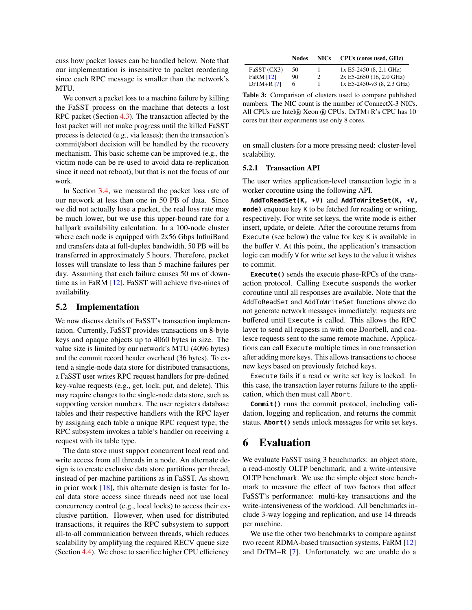cuss how packet losses can be handled below. Note that our implementation is insensitive to packet reordering since each RPC message is smaller than the network's MTU.

We convert a packet loss to a machine failure by killing the FaSST process on the machine that detects a lost RPC packet (Section [4.3\)](#page-7-0). The transaction affected by the lost packet will not make progress until the killed FaSST process is detected (e.g., via leases); then the transaction's commit/abort decision will be handled by the recovery mechanism. This basic scheme can be improved (e.g., the victim node can be re-used to avoid data re-replication since it need not reboot), but that is not the focus of our work.

In Section [3.4,](#page-6-0) we measured the packet loss rate of our network at less than one in 50 PB of data. Since we did not actually lose a packet, the real loss rate may be much lower, but we use this upper-bound rate for a ballpark availability calculation. In a 100-node cluster where each node is equipped with 2x56 Gbps InfiniBand and transfers data at full-duplex bandwidth, 50 PB will be transferred in approximately 5 hours. Therefore, packet losses will translate to less than 5 machine failures per day. Assuming that each failure causes 50 ms of downtime as in FaRM [\[12\]](#page-15-1), FaSST will achieve five-nines of availability.

### 5.2 Implementation

We now discuss details of FaSST's transaction implementation. Currently, FaSST provides transactions on 8-byte keys and opaque objects up to 4060 bytes in size. The value size is limited by our network's MTU (4096 bytes) and the commit record header overhead (36 bytes). To extend a single-node data store for distributed transactions, a FaSST user writes RPC request handlers for pre-defined key-value requests (e.g., get, lock, put, and delete). This may require changes to the single-node data store, such as supporting version numbers. The user registers database tables and their respective handlers with the RPC layer by assigning each table a unique RPC request type; the RPC subsystem invokes a table's handler on receiving a request with its table type.

The data store must support concurrent local read and write access from all threads in a node. An alternate design is to create exclusive data store partitions per thread, instead of per-machine partitions as in FaSST. As shown in prior work [\[18\]](#page-15-6), this alternate design is faster for local data store access since threads need not use local concurrency control (e.g., local locks) to access their exclusive partition. However, when used for distributed transactions, it requires the RPC subsystem to support all-to-all communication between threads, which reduces scalability by amplifying the required RECV queue size (Section [4.4\)](#page-8-1). We chose to sacrifice higher CPU efficiency

<span id="page-10-1"></span>

|             | <b>Nodes</b> | <b>NICs</b> | CPUs (cores used, GHz)    |
|-------------|--------------|-------------|---------------------------|
| FaSST (CX3) | - 50         |             | $1x E5-2450 (8, 2.1 GHz)$ |
| -------     |              |             |                           |

| FaRM [12]   | 90. | 2x E5-2650 (16, 2.0 GHz)                                         |
|-------------|-----|------------------------------------------------------------------|
| $DrTM+R171$ | 6   | $1x E5-2450-v3(8, 2.3 GHz)$                                      |
|             |     | <b>Table 3:</b> Comparison of clusters used to compare published |

numbers. The NIC count is the number of ConnectX-3 NICs. All CPUs are Intel® Xeon ® CPUs. DrTM+R's CPU has 10 cores but their experiments use only 8 cores.

on small clusters for a more pressing need: cluster-level scalability.

### 5.2.1 Transaction API

The user writes application-level transaction logic in a worker coroutine using the following API.

**AddToReadSet(K, \*V)** and **AddToWriteSet(K, \*V, mode)** enqueue key K to be fetched for reading or writing, respectively. For write set keys, the write mode is either insert, update, or delete. After the coroutine returns from Execute (see below) the value for key K is available in the buffer V. At this point, the application's transaction logic can modify V for write set keys to the value it wishes to commit.

**Execute()** sends the execute phase-RPCs of the transaction protocol. Calling Execute suspends the worker coroutine until all responses are available. Note that the AddToReadSet and AddToWriteSet functions above do not generate network messages immediately: requests are buffered until Execute is called. This allows the RPC layer to send all requests in with one Doorbell, and coalesce requests sent to the same remote machine. Applications can call Execute multiple times in one transaction after adding more keys. This allows transactions to choose new keys based on previously fetched keys.

Execute fails if a read or write set key is locked. In this case, the transaction layer returns failure to the application, which then must call Abort.

**Commit()** runs the commit protocol, including validation, logging and replication, and returns the commit status. **Abort()** sends unlock messages for write set keys.

# <span id="page-10-0"></span>6 Evaluation

We evaluate FaSST using 3 benchmarks: an object store, a read-mostly OLTP benchmark, and a write-intensive OLTP benchmark. We use the simple object store benchmark to measure the effect of two factors that affect FaSST's performance: multi-key transactions and the write-intensiveness of the workload. All benchmarks include 3-way logging and replication, and use 14 threads per machine.

We use the other two benchmarks to compare against two recent RDMA-based transaction systems, FaRM [\[12\]](#page-15-1) and DrTM+R [\[7\]](#page-15-2). Unfortunately, we are unable do a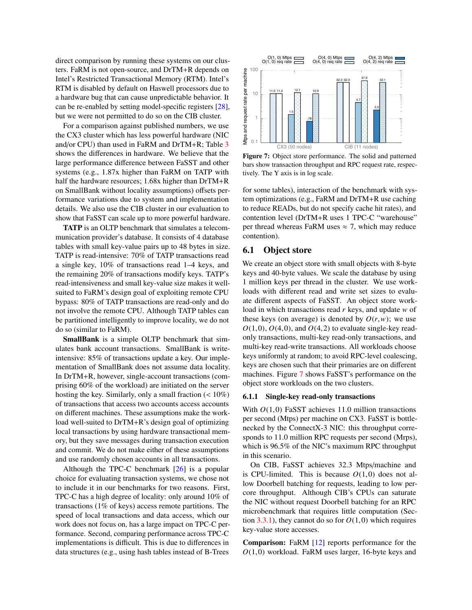direct comparison by running these systems on our clusters. FaRM is not open-source, and DrTM+R depends on Intel's Restricted Transactional Memory (RTM). Intel's RTM is disabled by default on Haswell processors due to a hardware bug that can cause unpredictable behavior. It can be re-enabled by setting model-specific registers  $[28]$ , but we were not permitted to do so on the CIB cluster.

For a comparison against published numbers, we use the CX3 cluster which has less powerful hardware (NIC and/or CPU) than used in FaRM and DrTM+R; Table 3 shows the differences in hardware. We believe that the large performance difference between FaSST and other systems (e.g., 1.87x higher than FaRM on TATP with half the hardware resources; 1.68x higher than DrTM+R on SmallBank without locality assumptions) offsets performance variations due to system and implementation details. We also use the CIB cluster in our evaluation to show that FaSST can scale up to more powerful hardware.

**TATP** is an OLTP benchmark that simulates a telecommunication provider's database. It consists of 4 database tables with small key-value pairs up to 48 bytes in size. TATP is read-intensive: 70% of TATP transactions read a single key, 10% of transactions read 1–4 keys, and the remaining 20% of transactions modify keys. TATP's read-intensiveness and small key-value size makes it wellsuited to FaRM's design goal of exploiting remote CPU bypass: 80% of TATP transactions are read-only and do not involve the remote CPU. Although TATP tables can be partitioned intelligently to improve locality, we do not do so (similar to FaRM).

SmallBank is a simple OLTP benchmark that simulates bank account transactions. SmallBank is writeintensive: 85% of transactions update a key. Our implementation of SmallBank does not assume data locality. In DrTM+R, however, single-account transactions (comprising 60% of the workload) are initiated on the server hosting the key. Similarly, only a small fraction  $(< 10\%)$ of transactions that access two accounts access accounts on different machines. These assumptions make the workload well-suited to DrTM+R's design goal of optimizing local transactions by using hardware transactional memory, but they save messages during transaction execution and commit. We do not make either of these assumptions and use randomly chosen accounts in all transactions.

Although the TPC-C benchmark  $[26]$  is a popular choice for evaluating transaction systems, we chose not to include it in our benchmarks for two reasons. First, TPC-C has a high degree of locality: only around 10% of transactions  $(1\% \text{ of keys})$  access remote partitions. The speed of local transactions and data access, which our work does not focus on, has a large impact on TPC-C performance. Second, comparing performance across TPC-C implementations is difficult. This is due to differences in data structures (e.g., using hash tables instead of B-Trees

<span id="page-11-0"></span>

Figure 7: Object store performance. The solid and patterned bars show transaction throughput and RPC request rate, respectively. The Y axis is in log scale.

for some tables), interaction of the benchmark with system optimizations (e.g., FaRM and DrTM+R use caching to reduce READs, but do not specify cache hit rates), and contention level (DrTM+R uses 1 TPC-C "warehouse" per thread whereas FaRM uses  $\approx$  7, which may reduce contention).

## 6.1 Object store

We create an object store with small objects with 8-byte keys and 40-byte values. We scale the database by using 1 million keys per thread in the cluster. We use workloads with different read and write set sizes to evaluate different aspects of FaSST. An object store workload in which transactions read  $r$  keys, and update  $w$  of these keys (on average) is denoted by  $O(r, w)$ ; we use  $O(1,0)$ ,  $O(4,0)$ , and  $O(4,2)$  to evaluate single-key readonly transactions, multi-key read-only transactions, and multi-key read-write transactions. All workloads choose keys uniformly at random; to avoid RPC-level coalescing, keys are chosen such that their primaries are on different machines. Figure 7 shows FaSST's performance on the object store workloads on the two clusters.

### 6.1.1 Single-key read-only transactions

With  $O(1,0)$  FaSST achieves 11.0 million transactions per second (Mtps) per machine on CX3. FaSST is bottlenecked by the ConnectX-3 NIC: this throughput corresponds to 11.0 million RPC requests per second (Mrps), which is 96.5% of the NIC's maximum RPC throughput in this scenario.

On CIB, FaSST achieves 32.3 Mtps/machine and is CPU-limited. This is because  $O(1,0)$  does not allow Doorbell batching for requests, leading to low percore throughput. Although CIB's CPUs can saturate the NIC without request Doorbell batching for an RPC microbenchmark that requires little computation (Section 3.3.1), they cannot do so for  $O(1,0)$  which requires key-value store accesses.

**Comparison:** FaRM [12] reports performance for the  $O(1,0)$  workload. FaRM uses larger, 16-byte keys and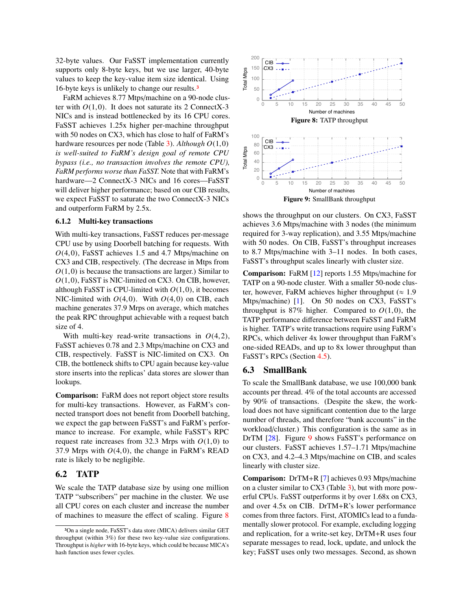32-byte values. Our FaSST implementation currently supports only 8-byte keys, but we use larger, 40-byte values to keep the key-value item size identical. Using 16-byte keys is unlikely to change our results.[3](#page-0-0)

FaRM achieves 8.77 Mtps/machine on a 90-node cluster with  $O(1,0)$ . It does not saturate its 2 ConnectX-3 NICs and is instead bottlenecked by its 16 CPU cores. FaSST achieves 1.25x higher per-machine throughput with 50 nodes on CX3, which has close to half of FaRM's hardware resources per node (Table [3\)](#page-10-1). *Although <sup>O</sup>*(1,0) *is well-suited to FaRM's design goal of remote CPU bypass (i.e., no transaction involves the remote CPU), FaRM performs worse than FaSST.* Note that with FaRM's hardware—2 ConnectX-3 NICs and 16 cores—FaSST will deliver higher performance; based on our CIB results, we expect FaSST to saturate the two ConnectX-3 NICs and outperform FaRM by 2.5x. ranchwa achieves sort with propination on a sole-nouse cluster.<br>
The War and is instead bottlenecked by its 16 CPU close.<br>
NIC and is instead bottlenecked by its 16 CPU close.<br>
NIC and is not allow the sole of the state o

### 6.1.2 Multi-key transactions

With multi-key transactions, FaSST reduces per-message CPU use by using Doorbell batching for requests. With *<sup>O</sup>*(4,0), FaSST achieves 1.5 and 4.7 Mtps/machine on CX3 and CIB, respectively. (The decrease in Mtps from  $O(1,0)$  is because the transactions are larger.) Similar to *<sup>O</sup>*(1,0), FaSST is NIC-limited on CX3. On CIB, however, although FaSST is CPU-limited with  $O(1,0)$ , it becomes NIC-limited with  $O(4,0)$ . With  $O(4,0)$  on CIB, each machine generates 37.9 Mrps on average, which matches the peak RPC throughput achievable with a request batch size of 4.

With multi-key read-write transactions in *<sup>O</sup>*(4,2), FaSST achieves 0.78 and 2.3 Mtps/machine on CX3 and CIB, respectively. FaSST is NIC-limited on CX3. On CIB, the bottleneck shifts to CPU again because key-value store inserts into the replicas' data stores are slower than lookups.

Comparison: FaRM does not report object store results for multi-key transactions. However, as FaRM's connected transport does not benefit from Doorbell batching, we expect the gap between FaSST's and FaRM's performance to increase. For example, while FaSST's RPC request rate increases from 32.3 Mrps with  $O(1,0)$  to 37.9 Mrps with  $O(4,0)$ , the change in FaRM's READ rate is likely to be negligible.

## 6.2 TATP

We scale the TATP database size by using one million TATP "subscribers" per machine in the cluster. We use all CPU cores on each cluster and increase the number of machines to measure the effect of scaling. Figure [8](#page-12-0)

<span id="page-12-0"></span>

<span id="page-12-1"></span>shows the throughput on our clusters. On CX3, FaSST achieves 3.6 Mtps/machine with 3 nodes (the minimum required for 3-way replication), and 3.55 Mtps/machine with 50 nodes. On CIB, FaSST's throughput increases to 8.7 Mtps/machine with 3–11 nodes. In both cases, FaSST's throughput scales linearly with cluster size.

Comparison: FaRM [\[12\]](#page-15-1) reports 1.55 Mtps/machine for TATP on a 90-node cluster. With a smaller 50-node cluster, however, FaRM achieves higher throughput ( $\approx 1.9$ Mtps/machine) [\[1\]](#page-15-17). On 50 nodes on CX3, FaSST's throughput is 87% higher. Compared to  $O(1,0)$ , the TATP performance difference between FaSST and FaRM is higher. TATP's write transactions require using FaRM's RPCs, which deliver 4x lower throughput than FaRM's one-sided READs, and up to 8x lower throughput than FaSST's RPCs (Section [4.5\)](#page-8-0).

## 6.3 SmallBank

To scale the SmallBank database, we use 100,000 bank accounts per thread. 4% of the total accounts are accessed by 90% of transactions. (Despite the skew, the workload does not have significant contention due to the large number of threads, and therefore "bank accounts" in the workload/cluster.) This configuration is the same as in DrTM [\[28\]](#page-16-0). Figure [9](#page-12-1) shows FaSST's performance on our clusters. FaSST achieves 1.57–1.71 Mtps/machine on CX3, and 4.2–4.3 Mtps/machine on CIB, and scales linearly with cluster size.

Comparison: DrTM+R [\[7\]](#page-15-2) achieves 0.93 Mtps/machine on a cluster similar to CX3 (Table [3\)](#page-10-1), but with more powerful CPUs. FaSST outperforms it by over 1.68x on CX3, and over 4.5x on CIB. DrTM+R's lower performance comes from three factors. First, ATOMICs lead to a fundamentally slower protocol. For example, excluding logging and replication, for a write-set key, DrTM+R uses four separate messages to read, lock, update, and unlock the key; FaSST uses only two messages. Second, as shown

<sup>3</sup>On a single node, FaSST's data store (MICA) delivers similar GET throughput (within 3%) for these two key-value size configurations. Throughput is *higher* with 16-byte keys, which could be because MICA's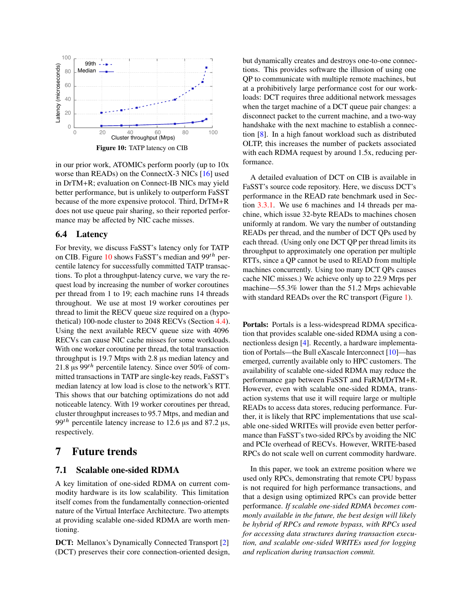<span id="page-13-1"></span>

in our prior work, ATOMICs perform poorly (up to 10x worse than READs) on the ConnectX-3 NICs [\[16\]](#page-15-13) used in DrTM+R; evaluation on Connect-IB NICs may yield better performance, but is unlikely to outperform FaSST because of the more expensive protocol. Third, DrTM+R does not use queue pair sharing, so their reported performance may be affected by NIC cache misses.

## 6.4 Latency

For brevity, we discuss FaSST's latency only for TATP on CIB. Figure [10](#page-13-1) shows FaSST's median and  $99<sup>th</sup>$  percentile latency for successfully committed TATP transactions. To plot a throughput-latency curve, we vary the request load by increasing the number of worker coroutines per thread from 1 to 19; each machine runs 14 threads throughout. We use at most 19 worker coroutines per thread to limit the RECV queue size required on a (hypothetical) 100-node cluster to 2048 RECVs (Section [4.4\)](#page-8-1). Using the next available RECV queue size with 4096 RECVs can cause NIC cache misses for some workloads. With one worker coroutine per thread, the total transaction throughput is 19.7 Mtps with 2.8 µs median latency and 21.8  $\mu$ s 99<sup>th</sup> percentile latency. Since over 50% of committed transactions in TATP are single-key reads, FaSST's median latency at low load is close to the network's RTT. This shows that our batching optimizations do not add noticeable latency. With 19 worker coroutines per thread, cluster throughput increases to 95.7 Mtps, and median and 99<sup>th</sup> percentile latency increase to 12.6  $\mu$ s and 87.2  $\mu$ s, respectively.

# 7 Future trends

## <span id="page-13-0"></span>7.1 Scalable one-sided RDMA

A key limitation of one-sided RDMA on current commodity hardware is its low scalability. This limitation itself comes from the fundamentally connection-oriented nature of the Virtual Interface Architecture. Two attempts at providing scalable one-sided RDMA are worth mentioning.

DCT: Mellanox's Dynamically Connected Transport [\[2\]](#page-15-18) (DCT) preserves their core connection-oriented design, but dynamically creates and destroys one-to-one connections. This provides software the illusion of using one QP to communicate with multiple remote machines, but at a prohibitively large performance cost for our workloads: DCT requires three additional network messages when the target machine of a DCT queue pair changes: a disconnect packet to the current machine, and a two-way handshake with the next machine to establish a connection [\[8\]](#page-15-19). In a high fanout workload such as distributed OLTP, this increases the number of packets associated with each RDMA request by around 1.5x, reducing performance.

A detailed evaluation of DCT on CIB is available in FaSST's source code repository. Here, we discuss DCT's performance in the READ rate benchmark used in Section [3.3.1.](#page-4-0) We use 6 machines and 14 threads per machine, which issue 32-byte READs to machines chosen uniformly at random. We vary the number of outstanding READs per thread, and the number of DCT QPs used by each thread. (Using only one DCT QP per thread limits its throughput to approximately one operation per multiple RTTs, since a QP cannot be used to READ from multiple machines concurrently. Using too many DCT QPs causes cache NIC misses.) We achieve only up to 22.9 Mrps per machine—55.3% lower than the 51.2 Mrps achievable with standard READs over the RC transport (Figure [1\)](#page-4-1).

Portals: Portals is a less-widespread RDMA specification that provides scalable one-sided RDMA using a connectionless design [\[4\]](#page-15-20). Recently, a hardware implementation of Portals—the Bull eXascale Interconnect [\[10\]](#page-15-14)—has emerged, currently available only to HPC customers. The availability of scalable one-sided RDMA may reduce the performance gap between FaSST and FaRM/DrTM+R. However, even with scalable one-sided RDMA, transaction systems that use it will require large or multiple READs to access data stores, reducing performance. Further, it is likely that RPC implementations that use scalable one-sided WRITEs will provide even better performance than FaSST's two-sided RPCs by avoiding the NIC and PCIe overhead of RECVs. However, WRITE-based RPCs do not scale well on current commodity hardware.

In this paper, we took an extreme position where we used only RPCs, demonstrating that remote CPU bypass is not required for high performance transactions, and that a design using optimized RPCs can provide better performance. *If scalable one-sided RDMA becomes commonly available in the future, the best design will likely be hybrid of RPCs and remote bypass, with RPCs used for accessing data structures during transaction execution, and scalable one-sided WRITEs used for logging and replication during transaction commit.*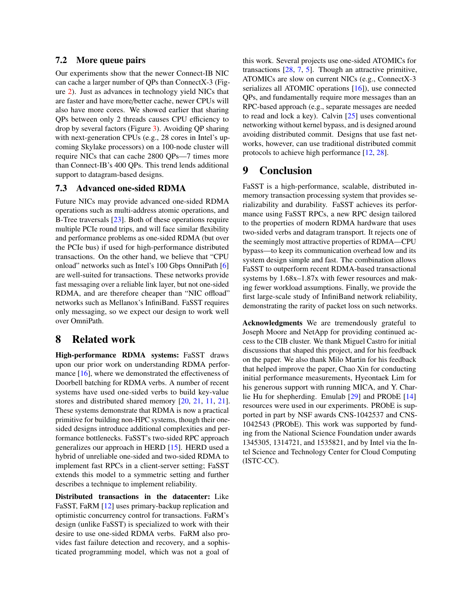## <span id="page-14-0"></span>7.2 More queue pairs

Our experiments show that the newer Connect-IB NIC can cache a larger number of QPs than ConnectX-3 (Figure [2\)](#page-5-1). Just as advances in technology yield NICs that are faster and have more/better cache, newer CPUs will also have more cores. We showed earlier that sharing QPs between only 2 threads causes CPU efficiency to drop by several factors (Figure [3\)](#page-5-2). Avoiding QP sharing with next-generation CPUs (e.g., 28 cores in Intel's upcoming Skylake processors) on a 100-node cluster will require NICs that can cache 2800 QPs—7 times more than Connect-IB's 400 QPs. This trend lends additional support to datagram-based designs.

## 7.3 Advanced one-sided RDMA

Future NICs may provide advanced one-sided RDMA operations such as multi-address atomic operations, and B-Tree traversals [\[23\]](#page-15-21). Both of these operations require multiple PCIe round trips, and will face similar flexibility and performance problems as one-sided RDMA (but over the PCIe bus) if used for high-performance distributed transactions. On the other hand, we believe that "CPU onload" networks such as Intel's 100 Gbps OmniPath [\[6\]](#page-15-10) are well-suited for transactions. These networks provide fast messaging over a reliable link layer, but not one-sided RDMA, and are therefore cheaper than "NIC offload" networks such as Mellanox's InfiniBand. FaSST requires only messaging, so we expect our design to work well over OmniPath.

# 8 Related work

High-performance RDMA systems: FaSST draws upon our prior work on understanding RDMA perfor-mance [\[16\]](#page-15-13), where we demonstrated the effectiveness of Doorbell batching for RDMA verbs. A number of recent systems have used one-sided verbs to build key-value stores and distributed shared memory [\[20,](#page-15-22) [21,](#page-15-11) [11,](#page-15-5) [21\]](#page-15-11). These systems demonstrate that RDMA is now a practical primitive for building non-HPC systems, though their onesided designs introduce additional complexities and performance bottlenecks. FaSST's two-sided RPC approach generalizes our approach in HERD [\[15\]](#page-15-4). HERD used a hybrid of unreliable one-sided and two-sided RDMA to implement fast RPCs in a client-server setting; FaSST extends this model to a symmetric setting and further describes a technique to implement reliability.

Distributed transactions in the datacenter: Like FaSST, FaRM [\[12\]](#page-15-1) uses primary-backup replication and optimistic concurrency control for transactions. FaRM's design (unlike FaSST) is specialized to work with their desire to use one-sided RDMA verbs. FaRM also provides fast failure detection and recovery, and a sophisticated programming model, which was not a goal of

this work. Several projects use one-sided ATOMICs for transactions [\[28,](#page-16-0) [7,](#page-15-2) [5\]](#page-15-3). Though an attractive primitive, ATOMICs are slow on current NICs (e.g., ConnectX-3 serializes all ATOMIC operations [\[16\]](#page-15-13)), use connected QPs, and fundamentally require more messages than an RPC-based approach (e.g., separate messages are needed to read and lock a key). Calvin [\[25\]](#page-15-23) uses conventional networking without kernel bypass, and is designed around avoiding distributed commit. Designs that use fast networks, however, can use traditional distributed commit protocols to achieve high performance [\[12,](#page-15-1) [28\]](#page-16-0).

# 9 Conclusion

FaSST is a high-performance, scalable, distributed inmemory transaction processing system that provides serializability and durability. FaSST achieves its performance using FaSST RPCs, a new RPC design tailored to the properties of modern RDMA hardware that uses two-sided verbs and datagram transport. It rejects one of the seemingly most attractive properties of RDMA—CPU bypass—to keep its communication overhead low and its system design simple and fast. The combination allows FaSST to outperform recent RDMA-based transactional systems by 1.68x–1.87x with fewer resources and making fewer workload assumptions. Finally, we provide the first large-scale study of InfiniBand network reliability, demonstrating the rarity of packet loss on such networks.

Acknowledgments We are tremendously grateful to Joseph Moore and NetApp for providing continued access to the CIB cluster. We thank Miguel Castro for initial discussions that shaped this project, and for his feedback on the paper. We also thank Milo Martin for his feedback that helped improve the paper, Chao Xin for conducting initial performance measurements, Hyeontaek Lim for his generous support with running MICA, and Y. Charlie Hu for shepherding. Emulab [\[29\]](#page-16-2) and PRObE [\[14\]](#page-15-24) resources were used in our experiments. PRObE is supported in part by NSF awards CNS-1042537 and CNS-1042543 (PRObE). This work was supported by funding from the National Science Foundation under awards 1345305, 1314721, and 1535821, and by Intel via the Intel Science and Technology Center for Cloud Computing (ISTC-CC).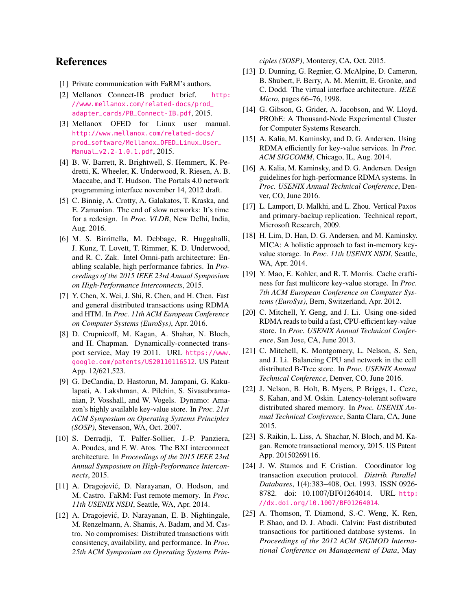# References

- <span id="page-15-17"></span>[1] Private communication with FaRM's authors.
- <span id="page-15-18"></span>[2] Mellanox Connect-IB product brief. [http:](http://www.mellanox.com/related-docs/prod_adapter_cards/PB_Connect-IB.pdf) [//www.mellanox.com/related-docs/prod\\_](http://www.mellanox.com/related-docs/prod_adapter_cards/PB_Connect-IB.pdf) [adapter\\_cards/PB\\_Connect-IB.pdf](http://www.mellanox.com/related-docs/prod_adapter_cards/PB_Connect-IB.pdf), 2015.
- <span id="page-15-9"></span>[3] Mellanox OFED for Linux user manual. [http://www.mellanox.com/related-docs/](http://www.mellanox.com/related-docs/prod_software/Mellanox_OFED_Linux_User_Manual_v2.2-1.0.1.pdf) [prod\\_software/Mellanox\\_OFED\\_Linux\\_User\\_](http://www.mellanox.com/related-docs/prod_software/Mellanox_OFED_Linux_User_Manual_v2.2-1.0.1.pdf) [Manual\\_v2.2-1.0.1.pdf](http://www.mellanox.com/related-docs/prod_software/Mellanox_OFED_Linux_User_Manual_v2.2-1.0.1.pdf), 2015.
- <span id="page-15-20"></span>[4] B. W. Barrett, R. Brightwell, S. Hemmert, K. Pedretti, K. Wheeler, K. Underwood, R. Riesen, A. B. Maccabe, and T. Hudson. The Portals 4.0 network programming interface november 14, 2012 draft.
- <span id="page-15-3"></span>[5] C. Binnig, A. Crotty, A. Galakatos, T. Kraska, and E. Zamanian. The end of slow networks: It's time for a redesign. In *Proc. VLDB*, New Delhi, India, Aug. 2016.
- <span id="page-15-10"></span>[6] M. S. Birrittella, M. Debbage, R. Huggahalli, J. Kunz, T. Lovett, T. Rimmer, K. D. Underwood, and R. C. Zak. Intel Omni-path architecture: Enabling scalable, high performance fabrics. In *Proceedings of the 2015 IEEE 23rd Annual Symposium on High-Performance Interconnects*, 2015.
- <span id="page-15-2"></span>[7] Y. Chen, X. Wei, J. Shi, R. Chen, and H. Chen. Fast and general distributed transactions using RDMA and HTM. In *Proc. 11th ACM European Conference on Computer Systems (EuroSys)*, Apr. 2016.
- <span id="page-15-19"></span>[8] D. Crupnicoff, M. Kagan, A. Shahar, N. Bloch, and H. Chapman. Dynamically-connected transport service, May 19 2011. URL [https://www.](https://www.google.com/patents/US20110116512) [google.com/patents/US20110116512](https://www.google.com/patents/US20110116512). US Patent App. 12/621,523.
- <span id="page-15-0"></span>[9] G. DeCandia, D. Hastorun, M. Jampani, G. Kakulapati, A. Lakshman, A. Pilchin, S. Sivasubramanian, P. Vosshall, and W. Vogels. Dynamo: Amazon's highly available key-value store. In *Proc. 21st ACM Symposium on Operating Systems Principles (SOSP)*, Stevenson, WA, Oct. 2007.
- <span id="page-15-14"></span>[10] S. Derradji, T. Palfer-Sollier, J.-P. Panziera, A. Poudes, and F. W. Atos. The BXI interconnect architecture. In *Proceedings of the 2015 IEEE 23rd Annual Symposium on High-Performance Interconnects*, 2015.
- <span id="page-15-5"></span>[11] A. Dragojević, D. Narayanan, O. Hodson, and M. Castro. FaRM: Fast remote memory. In *Proc. 11th USENIX NSDI*, Seattle, WA, Apr. 2014.
- <span id="page-15-1"></span>[12] A. Dragojević, D. Narayanan, E. B. Nightingale, M. Renzelmann, A. Shamis, A. Badam, and M. Castro. No compromises: Distributed transactions with consistency, availability, and performance. In *Proc. 25th ACM Symposium on Operating Systems Prin-*

*ciples (SOSP)*, Monterey, CA, Oct. 2015.

- <span id="page-15-8"></span>[13] D. Dunning, G. Regnier, G. McAlpine, D. Cameron, B. Shubert, F. Berry, A. M. Merritt, E. Gronke, and C. Dodd. The virtual interface architecture. *IEEE Micro*, pages 66–76, 1998.
- <span id="page-15-24"></span>[14] G. Gibson, G. Grider, A. Jacobson, and W. Lloyd. PRObE: A Thousand-Node Experimental Cluster for Computer Systems Research.
- <span id="page-15-4"></span>[15] A. Kalia, M. Kaminsky, and D. G. Andersen. Using RDMA efficiently for key-value services. In *Proc. ACM SIGCOMM*, Chicago, IL, Aug. 2014.
- <span id="page-15-13"></span>[16] A. Kalia, M. Kaminsky, and D. G. Andersen. Design guidelines for high-performance RDMA systems. In *Proc. USENIX Annual Technical Conference*, Denver, CO, June 2016.
- <span id="page-15-7"></span>[17] L. Lamport, D. Malkhi, and L. Zhou. Vertical Paxos and primary-backup replication. Technical report, Microsoft Research, 2009.
- <span id="page-15-6"></span>[18] H. Lim, D. Han, D. G. Andersen, and M. Kaminsky. MICA: A holistic approach to fast in-memory keyvalue storage. In *Proc. 11th USENIX NSDI*, Seattle, WA, Apr. 2014.
- <span id="page-15-12"></span>[19] Y. Mao, E. Kohler, and R. T. Morris. Cache craftiness for fast multicore key-value storage. In *Proc. 7th ACM European Conference on Computer Systems (EuroSys)*, Bern, Switzerland, Apr. 2012.
- <span id="page-15-22"></span>[20] C. Mitchell, Y. Geng, and J. Li. Using one-sided RDMA reads to build a fast, CPU-efficient key-value store. In *Proc. USENIX Annual Technical Conference*, San Jose, CA, June 2013.
- <span id="page-15-11"></span>[21] C. Mitchell, K. Montgomery, L. Nelson, S. Sen, and J. Li. Balancing CPU and network in the cell distributed B-Tree store. In *Proc. USENIX Annual Technical Conference*, Denver, CO, June 2016.
- <span id="page-15-15"></span>[22] J. Nelson, B. Holt, B. Myers, P. Briggs, L. Ceze, S. Kahan, and M. Oskin. Latency-tolerant software distributed shared memory. In *Proc. USENIX Annual Technical Conference*, Santa Clara, CA, June 2015.
- <span id="page-15-21"></span>[23] S. Raikin, L. Liss, A. Shachar, N. Bloch, and M. Kagan. Remote transactional memory, 2015. US Patent App. 20150269116.
- <span id="page-15-16"></span>[24] J. W. Stamos and F. Cristian. Coordinator log transaction execution protocol. *Distrib. Parallel Databases*, 1(4):383–408, Oct. 1993. ISSN 0926- 8782. doi: 10.1007/BF01264014. URL [http:](http://dx.doi.org/10.1007/BF01264014) [//dx.doi.org/10.1007/BF01264014](http://dx.doi.org/10.1007/BF01264014).
- <span id="page-15-23"></span>[25] A. Thomson, T. Diamond, S.-C. Weng, K. Ren, P. Shao, and D. J. Abadi. Calvin: Fast distributed transactions for partitioned database systems. In *Proceedings of the 2012 ACM SIGMOD International Conference on Management of Data*, May